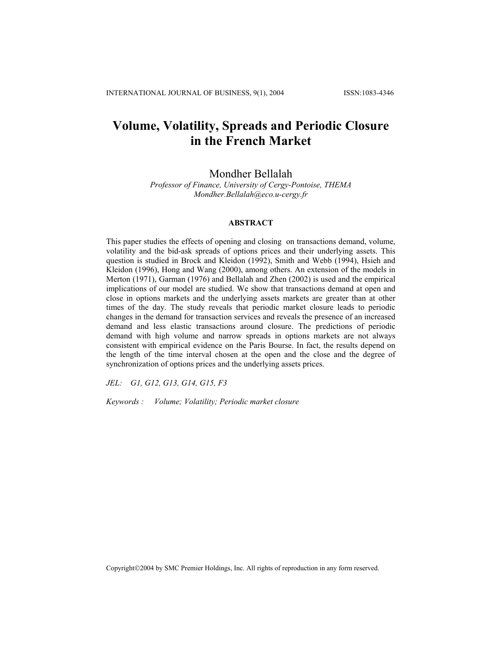# **Volume, Volatility, Spreads and Periodic Closure in the French Market**

## Mondher Bellalah

*Professor of Finance, University of Cergy-Pontoise, THEMA Mondher.Bellalah@eco.u-cergy.fr* 

## **ABSTRACT**

This paper studies the effects of opening and closing on transactions demand, volume, volatility and the bid-ask spreads of options prices and their underlying assets. This question is studied in Brock and Kleidon (1992), Smith and Webb (1994), Hsieh and Kleidon (1996), Hong and Wang (2000), among others. An extension of the models in Merton (1971), Garman (1976) and Bellalah and Zhen (2002) is used and the empirical implications of our model are studied. We show that transactions demand at open and close in options markets and the underlying assets markets are greater than at other times of the day. The study reveals that periodic market closure leads to periodic changes in the demand for transaction services and reveals the presence of an increased demand and less elastic transactions around closure. The predictions of periodic demand with high volume and narrow spreads in options markets are not always consistent with empirical evidence on the Paris Bourse. In fact, the results depend on the length of the time interval chosen at the open and the close and the degree of synchronization of options prices and the underlying assets prices.

*JEL: G1, G12, G13, G14, G15, F3* 

*Keywords : Volume; Volatility; Periodic market closure*

Copyright©2004 by SMC Premier Holdings, Inc. All rights of reproduction in any form reserved.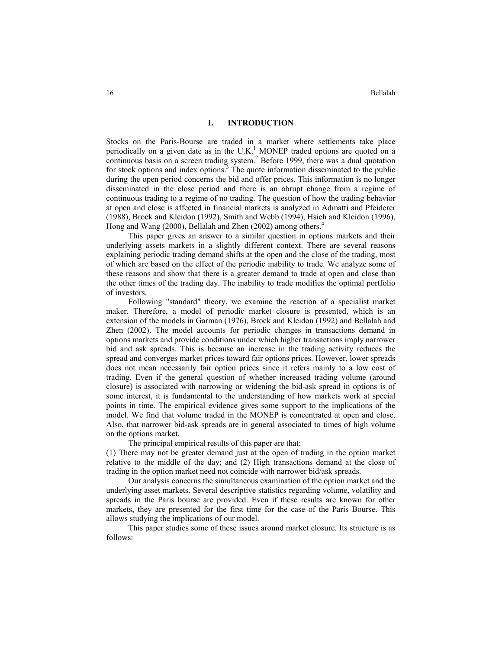## **I. INTRODUCTION**

Stocks on the Paris-Bourse are traded in a market where settlements take place periodically on a given date as in the U.K.<sup>1</sup> MONEP traded options are quoted on a continuous basis on a screen trading system.<sup>2</sup> Before 1999, there was a dual quotation for stock options and index options.<sup>3</sup> The quote information disseminated to the public during the open period concerns the bid and offer prices. This information is no longer disseminated in the close period and there is an abrupt change from a regime of continuous trading to a regime of no trading. The question of how the trading behavior at open and close is affected in financial markets is analyzed in Admatti and Pfeiderer (1988), Brock and Kleidon (1992), Smith and Webb (1994), Hsieh and Kleidon (1996), Hong and Wang (2000), Bellalah and Zhen (2002) among others.<sup>4</sup>

This paper gives an answer to a similar question in options markets and their underlying assets markets in a slightly different context. There are several reasons explaining periodic trading demand shifts at the open and the close of the trading, most of which are based on the effect of the periodic inability to trade. We analyze some of these reasons and show that there is a greater demand to trade at open and close than the other times of the trading day. The inability to trade modifies the optimal portfolio of investors.

Following "standard" theory, we examine the reaction of a specialist market maker. Therefore, a model of periodic market closure is presented, which is an extension of the models in Garman (1976), Brock and Kleidon (1992) and Bellalah and Zhen (2002). The model accounts for periodic changes in transactions demand in options markets and provide conditions under which higher transactions imply narrower bid and ask spreads. This is because an increase in the trading activity reduces the spread and converges market prices toward fair options prices. However, lower spreads does not mean necessarily fair option prices since it refers mainly to a low cost of trading. Even if the general question of whether increased trading volume (around closure) is associated with narrowing or widening the bid-ask spread in options is of some interest, it is fundamental to the understanding of how markets work at special points in time. The empirical evidence gives some support to the implications of the model. We find that volume traded in the MONEP is concentrated at open and close. Also, that narrower bid-ask spreads are in general associated to times of high volume on the options market.

The principal empirical results of this paper are that:

(1) There may not be greater demand just at the open of trading in the option market relative to the middle of the day; and (2) High transactions demand at the close of trading in the option market need not coincide with narrower bid/ask spreads.

Our analysis concerns the simultaneous examination of the option market and the underlying asset markets. Several descriptive statistics regarding volume, volatility and spreads in the Paris bourse are provided. Even if these results are known for other markets, they are presented for the first time for the case of the Paris Bourse. This allows studying the implications of our model.

This paper studies some of these issues around market closure. Its structure is as follows: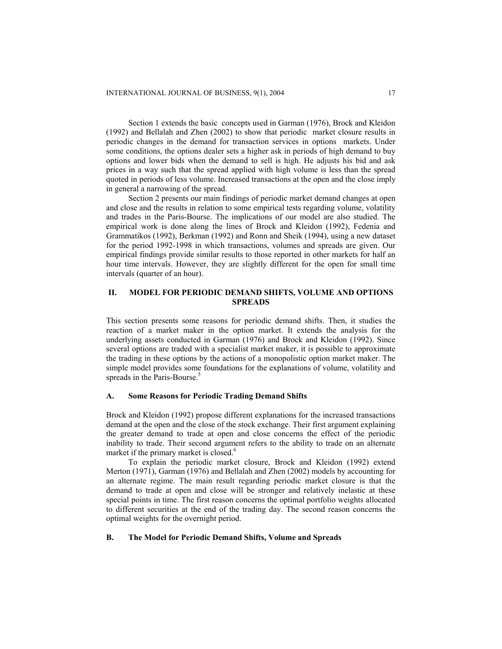Section 1 extends the basic concepts used in Garman (1976), Brock and Kleidon (1992) and Bellalah and Zhen (2002) to show that periodic market closure results in periodic changes in the demand for transaction services in options markets. Under some conditions, the options dealer sets a higher ask in periods of high demand to buy options and lower bids when the demand to sell is high. He adjusts his bid and ask prices in a way such that the spread applied with high volume is less than the spread quoted in periods of less volume. Increased transactions at the open and the close imply in general a narrowing of the spread.

Section 2 presents our main findings of periodic market demand changes at open and close and the results in relation to some empirical tests regarding volume, volatility and trades in the Paris-Bourse. The implications of our model are also studied. The empirical work is done along the lines of Brock and Kleidon (1992), Fedenia and Grammatikos (1992), Berkman (1992) and Ronn and Sheik (1994), using a new dataset for the period 1992-1998 in which transactions, volumes and spreads are given. Our empirical findings provide similar results to those reported in other markets for half an hour time intervals. However, they are slightly different for the open for small time intervals (quarter of an hour).

## **II. MODEL FOR PERIODIC DEMAND SHIFTS, VOLUME AND OPTIONS SPREADS**

This section presents some reasons for periodic demand shifts. Then, it studies the reaction of a market maker in the option market. It extends the analysis for the underlying assets conducted in Garman (1976) and Brock and Kleidon (1992). Since several options are traded with a specialist market maker, it is possible to approximate the trading in these options by the actions of a monopolistic option market maker. The simple model provides some foundations for the explanations of volume, volatility and spreads in the Paris-Bourse.<sup>5</sup>

## **A. Some Reasons for Periodic Trading Demand Shifts**

Brock and Kleidon (1992) propose different explanations for the increased transactions demand at the open and the close of the stock exchange. Their first argument explaining the greater demand to trade at open and close concerns the effect of the periodic inability to trade. Their second argument refers to the ability to trade on an alternate market if the primary market is closed.<sup>6</sup>

To explain the periodic market closure, Brock and Kleidon (1992) extend Merton (1971), Garman (1976) and Bellalah and Zhen (2002) models by accounting for an alternate regime. The main result regarding periodic market closure is that the demand to trade at open and close will be stronger and relatively inelastic at these special points in time. The first reason concerns the optimal portfolio weights allocated to different securities at the end of the trading day. The second reason concerns the optimal weights for the overnight period.

## **B. The Model for Periodic Demand Shifts, Volume and Spreads**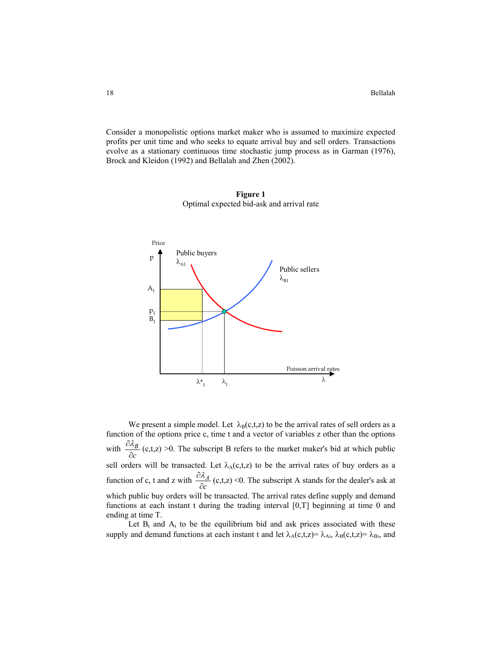Consider a monopolistic options market maker who is assumed to maximize expected profits per unit time and who seeks to equate arrival buy and sell orders. Transactions evolve as a stationary continuous time stochastic jump process as in Garman (1976), Brock and Kleidon (1992) and Bellalah and Zhen (2002).



**Figure 1**  Optimal expected bid-ask and arrival rate

We present a simple model. Let  $\lambda_B(c,t,z)$  to be the arrival rates of sell orders as a function of the options price c, time t and a vector of variables z other than the options with  $\frac{\partial x_i}{\partial c}$ *B*  $\frac{\partial \lambda_B}{\partial c}$  (c,t,z) >0. The subscript B refers to the market maker's bid at which public sell orders will be transacted. Let  $\lambda_A(c,t,z)$  to be the arrival rates of buy orders as a function of c, t and z with  $\frac{\partial u}{\partial c}$ *A*  $\frac{\partial \lambda_A}{\partial c}$  (c,t,z) <0. The subscript A stands for the dealer's ask at which public buy orders will be transacted. The arrival rates define supply and demand functions at each instant t during the trading interval [0,T] beginning at time 0 and ending at time T.

Let  $B_t$  and  $A_t$  to be the equilibrium bid and ask prices associated with these supply and demand functions at each instant t and let  $\lambda_A(c,t,z)=\lambda_{Ai}$ ,  $\lambda_B(c,t,z)=\lambda_{Bi}$ , and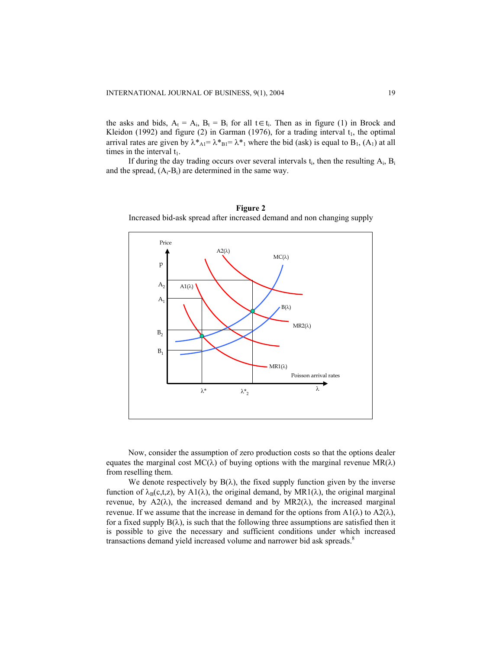the asks and bids,  $A_t = A_i$ ,  $B_t = B_i$  for all  $t \in t_i$ . Then as in figure (1) in Brock and Kleidon (1992) and figure (2) in Garman (1976), for a trading interval  $t_1$ , the optimal arrival rates are given by  $\lambda^*_{\text{Al}} = \lambda^*_{\text{Bl}} = \lambda^*_{\text{1}}$  where the bid (ask) is equal to B<sub>1</sub>, (A<sub>1</sub>) at all times in the interval  $t_1$ .

If during the day trading occurs over several intervals  $t_i$ , then the resulting  $A_i$ ,  $B_i$ and the spread,  $(A_i-B_i)$  are determined in the same way.



**Figure 2**  Increased bid-ask spread after increased demand and non changing supply

Now, consider the assumption of zero production costs so that the options dealer equates the marginal cost  $MC(\lambda)$  of buying options with the marginal revenue  $MR(\lambda)$ from reselling them.

We denote respectively by  $B(\lambda)$ , the fixed supply function given by the inverse function of  $\lambda_B(c,t,z)$ , by A1( $\lambda$ ), the original demand, by MR1( $\lambda$ ), the original marginal revenue, by A2( $\lambda$ ), the increased demand and by MR2( $\lambda$ ), the increased marginal revenue. If we assume that the increase in demand for the options from  $A1(\lambda)$  to  $A2(\lambda)$ , for a fixed supply  $B(\lambda)$ , is such that the following three assumptions are satisfied then it is possible to give the necessary and sufficient conditions under which increased transactions demand yield increased volume and narrower bid ask spreads.<sup>8</sup>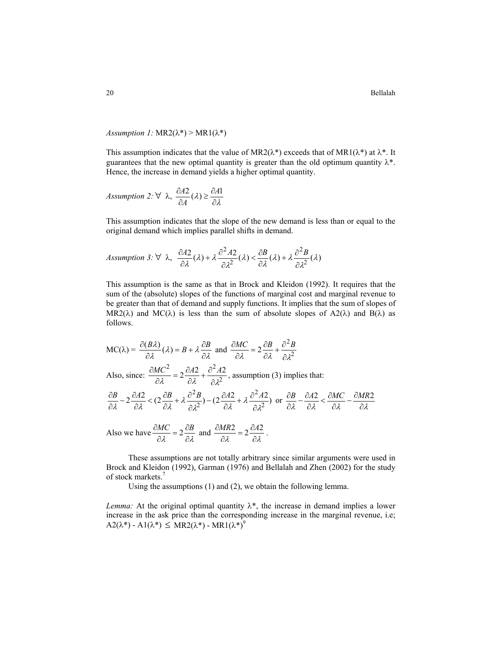*Assumption 1:*  $MR2(\lambda^*)$  >  $MR1(\lambda^*)$ 

This assumption indicates that the value of MR2( $\lambda^*$ ) exceeds that of MR1( $\lambda^*$ ) at  $\lambda^*$ . It guarantees that the new optimal quantity is greater than the old optimum quantity  $\lambda^*$ . Hence, the increase in demand yields a higher optimal quantity.

Assumption 2: 
$$
\forall \lambda, \frac{\partial A2}{\partial A}(\lambda) \geq \frac{\partial A1}{\partial \lambda}
$$

This assumption indicates that the slope of the new demand is less than or equal to the original demand which implies parallel shifts in demand.

Assumption 3: 
$$
\forall \lambda, \frac{\partial A2}{\partial \lambda}(\lambda) + \lambda \frac{\partial^2 A2}{\partial \lambda^2}(\lambda) < \frac{\partial B}{\partial \lambda}(\lambda) + \lambda \frac{\partial^2 B}{\partial \lambda^2}(\lambda)
$$

This assumption is the same as that in Brock and Kleidon (1992). It requires that the sum of the (absolute) slopes of the functions of marginal cost and marginal revenue to be greater than that of demand and supply functions. It implies that the sum of slopes of MR2( $\lambda$ ) and MC( $\lambda$ ) is less than the sum of absolute slopes of A2( $\lambda$ ) and B( $\lambda$ ) as follows.

$$
MC(\lambda) = \frac{\partial (B\lambda)}{\partial \lambda} (\lambda) = B + \lambda \frac{\partial B}{\partial \lambda} \text{ and } \frac{\partial MC}{\partial \lambda} = 2 \frac{\partial B}{\partial \lambda} + \frac{\partial^2 B}{\partial \lambda^2}
$$

Also, since:  $\frac{\partial MC^2}{\partial \lambda} = 2 \frac{\partial A2}{\partial \lambda} + \frac{\partial^2 A2}{\partial \lambda^2}$ <sup>λ</sup> <sup>λ</sup> ∂<sup>λ</sup>  $\frac{\partial MC^2}{\partial \lambda} = 2 \frac{\partial A2}{\partial \lambda} + \frac{\partial^2 A2}{\partial \lambda^2}$ , assumption (3) implies that:

$$
\frac{\partial B}{\partial \lambda} - 2 \frac{\partial A2}{\partial \lambda} < \left( 2 \frac{\partial B}{\partial \lambda} + \lambda \frac{\partial^2 B}{\partial \lambda^2} \right) - \left( 2 \frac{\partial A2}{\partial \lambda} + \lambda \frac{\partial^2 A2}{\partial \lambda^2} \right) \text{ or } \frac{\partial B}{\partial \lambda} - \frac{\partial A2}{\partial \lambda} < \frac{\partial MC}{\partial \lambda} - \frac{\partial MR2}{\partial \lambda}
$$

Also we have 
$$
\frac{\partial MC}{\partial \lambda} = 2 \frac{\partial B}{\partial \lambda}
$$
 and  $\frac{\partial MR2}{\partial \lambda} = 2 \frac{\partial A2}{\partial \lambda}$ .

These assumptions are not totally arbitrary since similar arguments were used in Brock and Kleidon (1992), Garman (1976) and Bellalah and Zhen (2002) for the study of stock markets.<sup>7</sup>

Using the assumptions (1) and (2), we obtain the following lemma.

*Lemma:* At the original optimal quantity  $\lambda^*$ , the increase in demand implies a lower increase in the ask price than the corresponding increase in the marginal revenue, i.e;  $A2(\lambda^*)$  -  $A1(\lambda^*) \le MR2(\lambda^*)$  -  $MR1(\lambda^*)^9$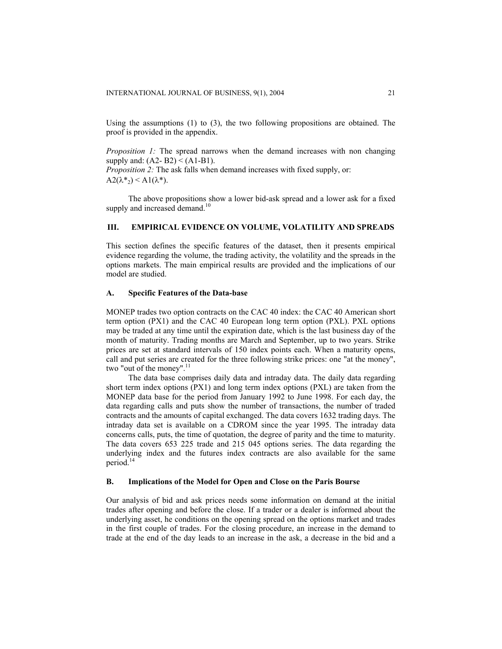Using the assumptions (1) to (3), the two following propositions are obtained. The proof is provided in the appendix.

*Proposition 1:* The spread narrows when the demand increases with non changing supply and:  $(A2 - B2) < (A1 - B1)$ . *Proposition 2:* The ask falls when demand increases with fixed supply, or:  $A2(\lambda^*)$  < A $1(\lambda^*)$ .

The above propositions show a lower bid-ask spread and a lower ask for a fixed supply and increased demand. $10$ 

## **III. EMPIRICAL EVIDENCE ON VOLUME, VOLATILITY AND SPREADS**

This section defines the specific features of the dataset, then it presents empirical evidence regarding the volume, the trading activity, the volatility and the spreads in the options markets. The main empirical results are provided and the implications of our model are studied.

## **A. Specific Features of the Data-base**

MONEP trades two option contracts on the CAC 40 index: the CAC 40 American short term option (PX1) and the CAC 40 European long term option (PXL). PXL options may be traded at any time until the expiration date, which is the last business day of the month of maturity. Trading months are March and September, up to two years. Strike prices are set at standard intervals of 150 index points each. When a maturity opens, call and put series are created for the three following strike prices: one "at the money", two "out of the money". $^{11}$ 

The data base comprises daily data and intraday data. The daily data regarding short term index options (PX1) and long term index options (PXL) are taken from the MONEP data base for the period from January 1992 to June 1998. For each day, the data regarding calls and puts show the number of transactions, the number of traded contracts and the amounts of capital exchanged. The data covers 1632 trading days. The intraday data set is available on a CDROM since the year 1995. The intraday data concerns calls, puts, the time of quotation, the degree of parity and the time to maturity. The data covers 653 225 trade and 215 045 options series. The data regarding the underlying index and the futures index contracts are also available for the same period.<sup>14</sup>

#### **B. Implications of the Model for Open and Close on the Paris Bourse**

Our analysis of bid and ask prices needs some information on demand at the initial trades after opening and before the close. If a trader or a dealer is informed about the underlying asset, he conditions on the opening spread on the options market and trades in the first couple of trades. For the closing procedure, an increase in the demand to trade at the end of the day leads to an increase in the ask, a decrease in the bid and a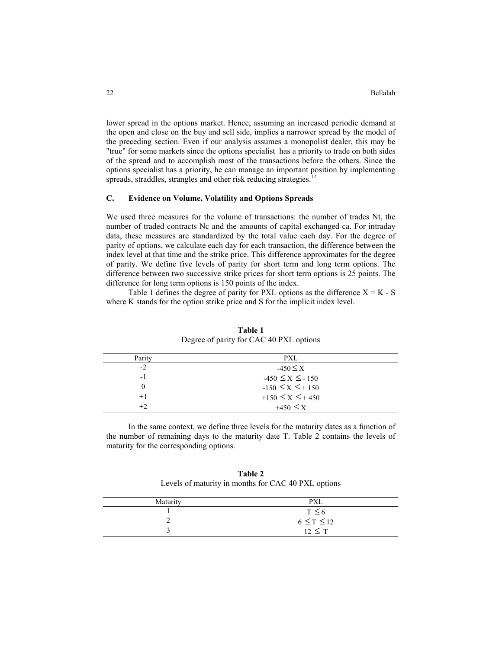lower spread in the options market. Hence, assuming an increased periodic demand at the open and close on the buy and sell side, implies a narrower spread by the model of the preceding section. Even if our analysis assumes a monopolist dealer, this may be "true" for some markets since the options specialist has a priority to trade on both sides of the spread and to accomplish most of the transactions before the others. Since the options specialist has a priority, he can manage an important position by implementing spreads, straddles, strangles and other risk reducing strategies.<sup>1</sup>

## **C. Evidence on Volume, Volatility and Options Spreads**

We used three measures for the volume of transactions: the number of trades Nt, the number of traded contracts Nc and the amounts of capital exchanged ca. For intraday data, these measures are standardized by the total value each day. For the degree of parity of options, we calculate each day for each transaction, the difference between the index level at that time and the strike price. This difference approximates for the degree of parity. We define five levels of parity for short term and long term options. The difference between two successive strike prices for short term options is 25 points. The difference for long term options is 150 points of the index.

Table 1 defines the degree of parity for PXL options as the difference  $X = K - S$ where K stands for the option strike price and S for the implicit index level.

| Parity | PXL                   |  |
|--------|-----------------------|--|
| $-2$   | $-450 \leq X$         |  |
| $-1$   | $-450 \le X \le -150$ |  |
|        | $-150 \le X \le +150$ |  |
| $+1$   | $+150 \le X \le +450$ |  |
| $+2$   | $+450 \leq X$         |  |

**Table 1** Degree of parity for CAC 40 PXL options

In the same context, we define three levels for the maturity dates as a function of the number of remaining days to the maturity date T. Table 2 contains the levels of maturity for the corresponding options.

**Table 2** Levels of maturity in months for CAC 40 PXL options

| Maturity | <b>PXL</b>         |
|----------|--------------------|
|          | $T \leq 6$         |
|          | $6 \leq T \leq 12$ |
|          | $12 \leq T$        |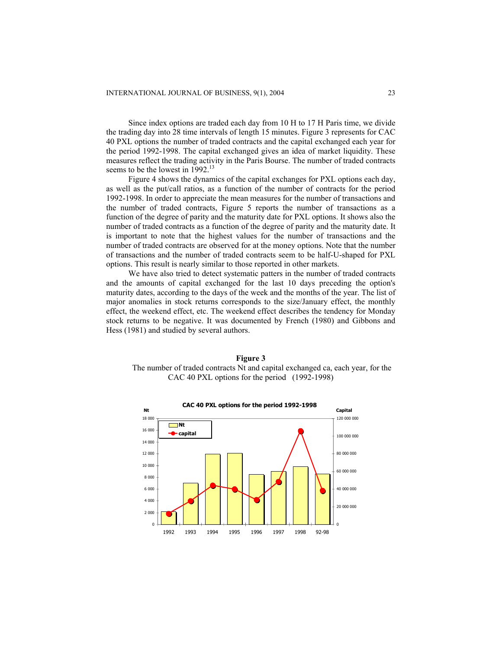Since index options are traded each day from 10 H to 17 H Paris time, we divide the trading day into 28 time intervals of length 15 minutes. Figure 3 represents for CAC 40 PXL options the number of traded contracts and the capital exchanged each year for the period 1992-1998. The capital exchanged gives an idea of market liquidity. These measures reflect the trading activity in the Paris Bourse. The number of traded contracts seems to be the lowest in 1992.<sup>13</sup>

Figure 4 shows the dynamics of the capital exchanges for PXL options each day, as well as the put/call ratios, as a function of the number of contracts for the period 1992-1998. In order to appreciate the mean measures for the number of transactions and the number of traded contracts, Figure 5 reports the number of transactions as a function of the degree of parity and the maturity date for PXL options. It shows also the number of traded contracts as a function of the degree of parity and the maturity date. It is important to note that the highest values for the number of transactions and the number of traded contracts are observed for at the money options. Note that the number of transactions and the number of traded contracts seem to be half-U-shaped for PXL options. This result is nearly similar to those reported in other markets.

We have also tried to detect systematic patters in the number of traded contracts and the amounts of capital exchanged for the last 10 days preceding the option's maturity dates, according to the days of the week and the months of the year. The list of major anomalies in stock returns corresponds to the size/January effect, the monthly effect, the weekend effect, etc. The weekend effect describes the tendency for Monday stock returns to be negative. It was documented by French (1980) and Gibbons and Hess (1981) and studied by several authors.

**Figure 3**  The number of traded contracts Nt and capital exchanged ca, each year, for the CAC 40 PXL options for the period (1992-1998)

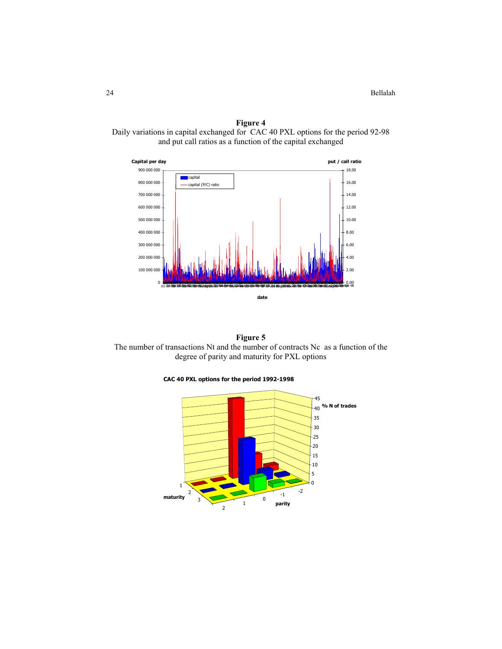24 Bellalah

**Figure 4**  Daily variations in capital exchanged for CAC 40 PXL options for the period 92-98 and put call ratios as a function of the capital exchanged

![](_page_9_Figure_2.jpeg)

**Figure 5**  The number of transactions Nt and the number of contracts Nc as a function of the degree of parity and maturity for PXL options

![](_page_9_Figure_4.jpeg)

![](_page_9_Figure_5.jpeg)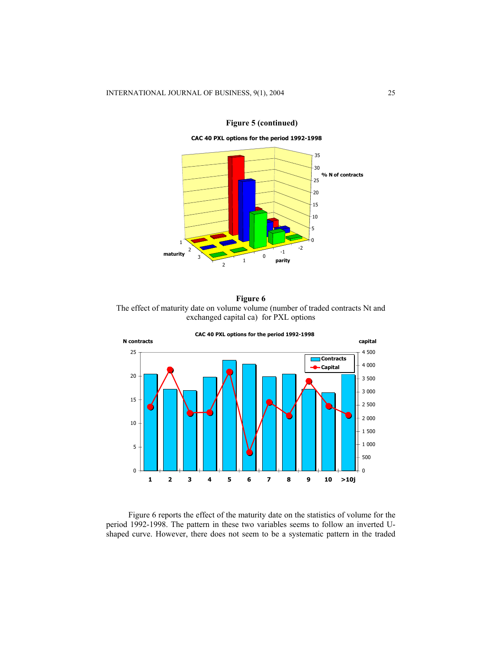![](_page_10_Figure_1.jpeg)

**Figure 5 (continued)** 

**CAC 40 PXL options for the period 1992-1998**

## **Figure 6**  The effect of maturity date on volume volume (number of traded contracts Nt and exchanged capital ca) for PXL options

![](_page_10_Figure_5.jpeg)

Figure 6 reports the effect of the maturity date on the statistics of volume for the period 1992-1998. The pattern in these two variables seems to follow an inverted Ushaped curve. However, there does not seem to be a systematic pattern in the traded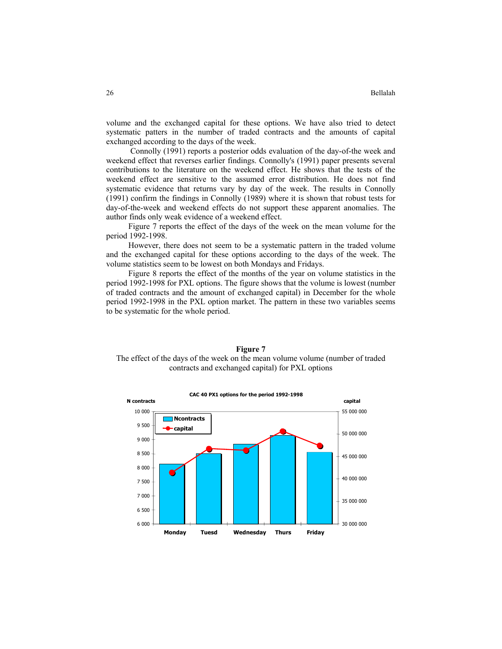volume and the exchanged capital for these options. We have also tried to detect systematic patters in the number of traded contracts and the amounts of capital exchanged according to the days of the week.

Connolly (1991) reports a posterior odds evaluation of the day-of-the week and weekend effect that reverses earlier findings. Connolly's (1991) paper presents several contributions to the literature on the weekend effect. He shows that the tests of the weekend effect are sensitive to the assumed error distribution. He does not find systematic evidence that returns vary by day of the week. The results in Connolly (1991) confirm the findings in Connolly (1989) where it is shown that robust tests for day-of-the-week and weekend effects do not support these apparent anomalies. The author finds only weak evidence of a weekend effect.

Figure 7 reports the effect of the days of the week on the mean volume for the period 1992-1998.

However, there does not seem to be a systematic pattern in the traded volume and the exchanged capital for these options according to the days of the week. The volume statistics seem to be lowest on both Mondays and Fridays.

Figure 8 reports the effect of the months of the year on volume statistics in the period 1992-1998 for PXL options. The figure shows that the volume is lowest (number of traded contracts and the amount of exchanged capital) in December for the whole period 1992-1998 in the PXL option market. The pattern in these two variables seems to be systematic for the whole period.

![](_page_11_Figure_6.jpeg)

![](_page_11_Figure_7.jpeg)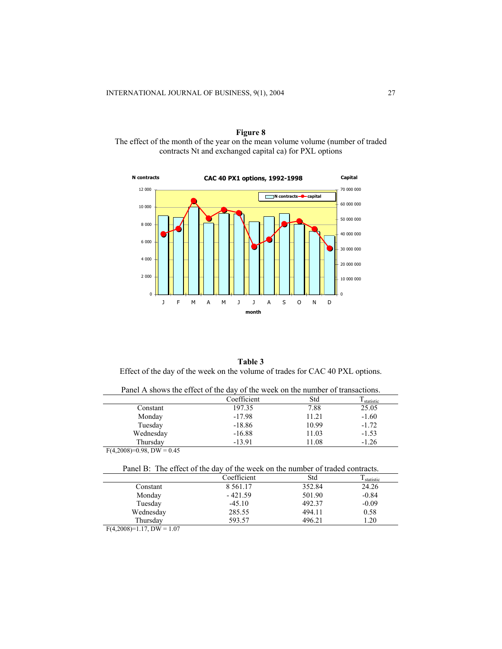**Figure 8**  The effect of the month of the year on the mean volume volume (number of traded contracts Nt and exchanged capital ca) for PXL options

![](_page_12_Figure_2.jpeg)

**Table 3** Effect of the day of the week on the volume of trades for CAC 40 PXL options.

| I dily TV shows the check of the day of the week on the humber of transactions. |             |       |           |  |  |
|---------------------------------------------------------------------------------|-------------|-------|-----------|--|--|
|                                                                                 | Coefficient | Std   | statistic |  |  |
| Constant                                                                        | 197.35      | 7.88  | 25.05     |  |  |
| Monday                                                                          | $-17.98$    | 11.21 | $-1.60$   |  |  |
| Tuesday                                                                         | $-18.86$    | 10.99 | $-1.72$   |  |  |
| Wednesday                                                                       | $-16.88$    | 11.03 | $-1.53$   |  |  |
| Thursdav                                                                        | $-13.91$    | 11.08 | $-1.26$   |  |  |
| $\Gamma$ (4.3000) = 0.00 $\Gamma$ W = 0.45                                      |             |       |           |  |  |

Panel A shows the effect of the day of the week on the number of transactions.

 $F(4,2008)=0.98$ , DW = 0.45

Panel B: The effect of the day of the week on the number of traded contracts.

|           | Coefficient | Std    | statistic |
|-----------|-------------|--------|-----------|
| Constant  | 8 5 6 1 .17 | 352.84 | 24.26     |
| Monday    | $-421.59$   | 501.90 | $-0.84$   |
| Tuesday   | $-45.10$    | 492.37 | $-0.09$   |
| Wednesday | 285.55      | 494.11 | 0.58      |
| Thursday  | 593.57      | 496.21 | .20       |

 $F(4,2008)=1.17, \overline{DW}=1.07$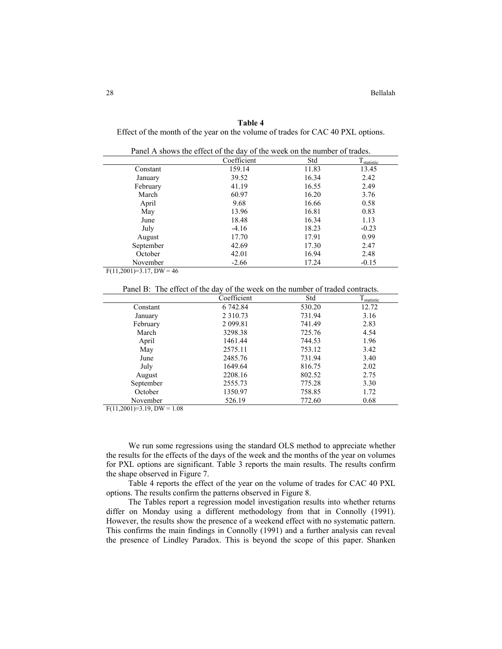## **Table 4**

Effect of the month of the year on the volume of trades for CAC 40 PXL options.

|                        | Coefficient | Std   | $T_{statistic}$ |
|------------------------|-------------|-------|-----------------|
| Constant               | 159.14      | 11.83 | 13.45           |
| January                | 39.52       | 16.34 | 2.42            |
| February               | 41.19       | 16.55 | 2.49            |
| March                  | 60.97       | 16.20 | 3.76            |
| April                  | 9.68        | 16.66 | 0.58            |
| May                    | 13.96       | 16.81 | 0.83            |
| June                   | 18.48       | 16.34 | 1.13            |
| July                   | $-4.16$     | 18.23 | $-0.23$         |
| August                 | 17.70       | 17.91 | 0.99            |
| September              | 42.69       | 17.30 | 2.47            |
| October                | 42.01       | 16.94 | 2.48            |
| November               | $-2.66$     | 17.24 | $-0.15$         |
| . <i>. .</i><br>$\sim$ |             |       |                 |

|  | Panel A shows the effect of the day of the week on the number of trades. |
|--|--------------------------------------------------------------------------|
|--|--------------------------------------------------------------------------|

 $F(11,2001)=3.17$ ,  $DW=46$ 

Panel B: The effect of the day of the week on the number of traded contracts.

|           | Coefficient   | Std    | I statistic |
|-----------|---------------|--------|-------------|
| Constant  | 6 742.84      | 530.20 | 12.72       |
| January   | 2 3 1 0 . 7 3 | 731.94 | 3.16        |
| February  | 2 0 9 9.81    | 741.49 | 2.83        |
| March     | 3298.38       | 725.76 | 4.54        |
| April     | 1461.44       | 744.53 | 1.96        |
| May       | 2575.11       | 753.12 | 3.42        |
| June      | 2485.76       | 731.94 | 3.40        |
| July      | 1649.64       | 816.75 | 2.02        |
| August    | 2208.16       | 802.52 | 2.75        |
| September | 2555.73       | 775.28 | 3.30        |
| October   | 1350.97       | 758.85 | 1.72        |
| November  | 526.19        | 772.60 | 0.68        |

 $F(11,2001)=3.19$ ,  $DW = 1.08$ 

We run some regressions using the standard OLS method to appreciate whether the results for the effects of the days of the week and the months of the year on volumes for PXL options are significant. Table 3 reports the main results. The results confirm the shape observed in Figure 7.

Table 4 reports the effect of the year on the volume of trades for CAC 40 PXL options. The results confirm the patterns observed in Figure 8.

The Tables report a regression model investigation results into whether returns differ on Monday using a different methodology from that in Connolly (1991). However, the results show the presence of a weekend effect with no systematic pattern. This confirms the main findings in Connolly (1991) and a further analysis can reveal the presence of Lindley Paradox. This is beyond the scope of this paper. Shanken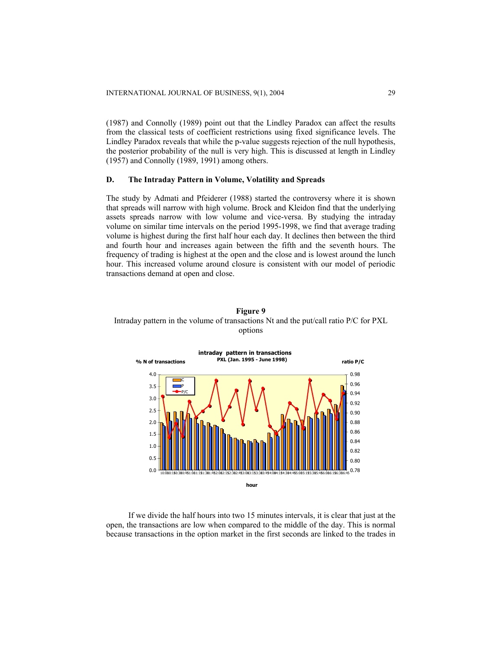(1987) and Connolly (1989) point out that the Lindley Paradox can affect the results from the classical tests of coefficient restrictions using fixed significance levels. The Lindley Paradox reveals that while the p-value suggests rejection of the null hypothesis, the posterior probability of the null is very high. This is discussed at length in Lindley (1957) and Connolly (1989, 1991) among others.

## **D. The Intraday Pattern in Volume, Volatility and Spreads**

The study by Admati and Pfeiderer (1988) started the controversy where it is shown that spreads will narrow with high volume. Brock and Kleidon find that the underlying assets spreads narrow with low volume and vice-versa. By studying the intraday volume on similar time intervals on the period 1995-1998, we find that average trading volume is highest during the first half hour each day. It declines then between the third and fourth hour and increases again between the fifth and the seventh hours. The frequency of trading is highest at the open and the close and is lowest around the lunch hour. This increased volume around closure is consistent with our model of periodic transactions demand at open and close.

![](_page_14_Figure_4.jpeg)

![](_page_14_Figure_5.jpeg)

If we divide the half hours into two 15 minutes intervals, it is clear that just at the open, the transactions are low when compared to the middle of the day. This is normal because transactions in the option market in the first seconds are linked to the trades in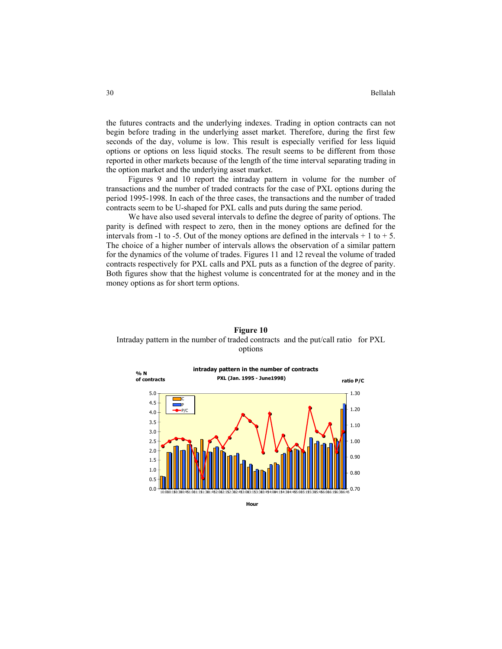the futures contracts and the underlying indexes. Trading in option contracts can not begin before trading in the underlying asset market. Therefore, during the first few seconds of the day, volume is low. This result is especially verified for less liquid options or options on less liquid stocks. The result seems to be different from those reported in other markets because of the length of the time interval separating trading in the option market and the underlying asset market.

Figures 9 and 10 report the intraday pattern in volume for the number of transactions and the number of traded contracts for the case of PXL options during the period 1995-1998. In each of the three cases, the transactions and the number of traded contracts seem to be U-shaped for PXL calls and puts during the same period.

We have also used several intervals to define the degree of parity of options. The parity is defined with respect to zero, then in the money options are defined for the intervals from -1 to -5. Out of the money options are defined in the intervals  $+1$  to  $+5$ . The choice of a higher number of intervals allows the observation of a similar pattern for the dynamics of the volume of trades. Figures 11 and 12 reveal the volume of traded contracts respectively for PXL calls and PXL puts as a function of the degree of parity. Both figures show that the highest volume is concentrated for at the money and in the money options as for short term options.

![](_page_15_Figure_4.jpeg)

## **Figure 10**  Intraday pattern in the number of traded contracts and the put/call ratio for PXL options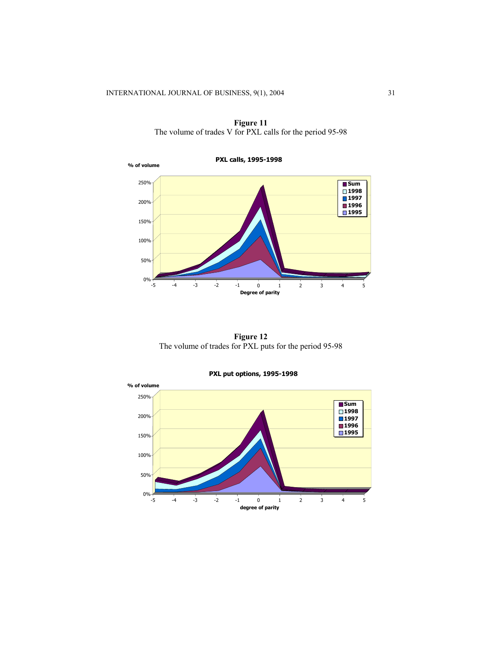![](_page_16_Figure_1.jpeg)

**Figure 11**  The volume of trades V for PXL calls for the period 95-98

**Figure 12**  The volume of trades for PXL puts for the period 95-98

![](_page_16_Figure_4.jpeg)

## **PXL put options, 1995-1998**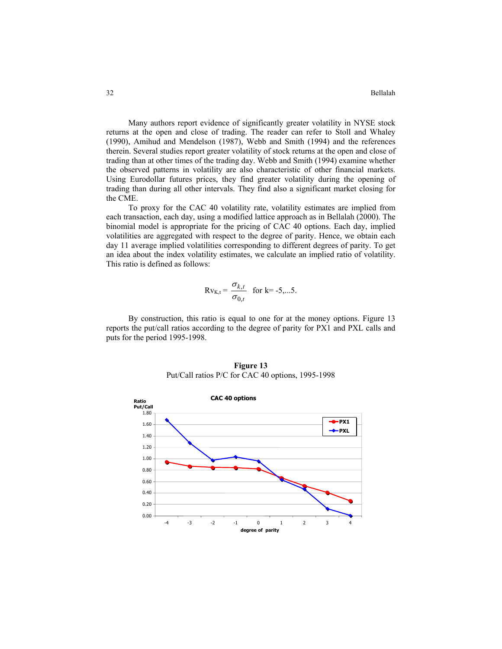Many authors report evidence of significantly greater volatility in NYSE stock returns at the open and close of trading. The reader can refer to Stoll and Whaley (1990), Amihud and Mendelson (1987), Webb and Smith (1994) and the references therein. Several studies report greater volatility of stock returns at the open and close of trading than at other times of the trading day. Webb and Smith (1994) examine whether the observed patterns in volatility are also characteristic of other financial markets. Using Eurodollar futures prices, they find greater volatility during the opening of trading than during all other intervals. They find also a significant market closing for the CME.

To proxy for the CAC 40 volatility rate, volatility estimates are implied from each transaction, each day, using a modified lattice approach as in Bellalah (2000). The binomial model is appropriate for the pricing of CAC 40 options. Each day, implied volatilities are aggregated with respect to the degree of parity. Hence, we obtain each day 11 average implied volatilities corresponding to different degrees of parity. To get an idea about the index volatility estimates, we calculate an implied ratio of volatility. This ratio is defined as follows:

$$
Rv_{K,t} = \frac{\sigma_{k,t}}{\sigma_{0,t}} \quad \text{for } k = -5,...5.
$$

By construction, this ratio is equal to one for at the money options. Figure 13 reports the put/call ratios according to the degree of parity for PX1 and PXL calls and puts for the period 1995-1998.

![](_page_17_Figure_5.jpeg)

**Figure 13**  Put/Call ratios P/C for CAC 40 options, 1995-1998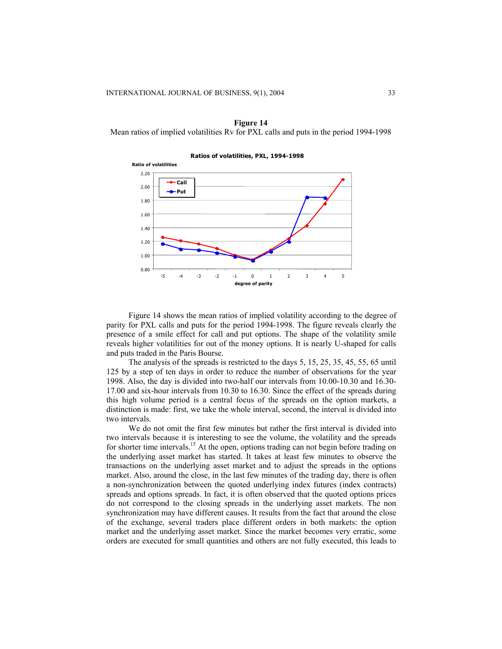**Figure 14** 

![](_page_18_Figure_2.jpeg)

Mean ratios of implied volatilities Rv for PXL calls and puts in the period 1994-1998

Figure 14 shows the mean ratios of implied volatility according to the degree of parity for PXL calls and puts for the period 1994-1998. The figure reveals clearly the presence of a smile effect for call and put options. The shape of the volatility smile reveals higher volatilities for out of the money options. It is nearly U-shaped for calls and puts traded in the Paris Bourse.

The analysis of the spreads is restricted to the days 5, 15, 25, 35, 45, 55, 65 until 125 by a step of ten days in order to reduce the number of observations for the year 1998. Also, the day is divided into two-half our intervals from 10.00-10.30 and 16.30- 17.00 and six-hour intervals from 10.30 to 16.30. Since the effect of the spreads during this high volume period is a central focus of the spreads on the option markets, a distinction is made: first, we take the whole interval, second, the interval is divided into two intervals.

We do not omit the first few minutes but rather the first interval is divided into two intervals because it is interesting to see the volume, the volatility and the spreads for shorter time intervals.<sup>15</sup> At the open, options trading can not begin before trading on the underlying asset market has started. It takes at least few minutes to observe the transactions on the underlying asset market and to adjust the spreads in the options market. Also, around the close, in the last few minutes of the trading day, there is often a non-synchronization between the quoted underlying index futures (index contracts) spreads and options spreads. In fact, it is often observed that the quoted options prices do not correspond to the closing spreads in the underlying asset markets. The non synchronization may have different causes. It results from the fact that around the close of the exchange, several traders place different orders in both markets: the option market and the underlying asset market. Since the market becomes very erratic, some orders are executed for small quantities and others are not fully executed, this leads to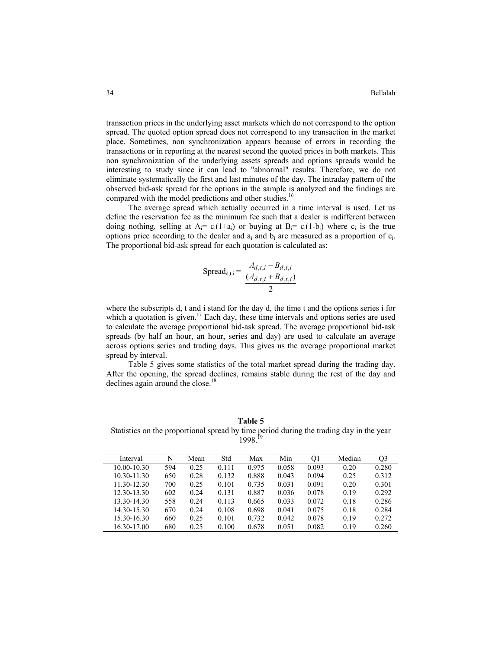transaction prices in the underlying asset markets which do not correspond to the option spread. The quoted option spread does not correspond to any transaction in the market place. Sometimes, non synchronization appears because of errors in recording the transactions or in reporting at the nearest second the quoted prices in both markets. This non synchronization of the underlying assets spreads and options spreads would be interesting to study since it can lead to "abnormal" results. Therefore, we do not eliminate systematically the first and last minutes of the day. The intraday pattern of the observed bid-ask spread for the options in the sample is analyzed and the findings are compared with the model predictions and other studies.<sup>16</sup>

The average spread which actually occurred in a time interval is used. Let us define the reservation fee as the minimum fee such that a dealer is indifferent between doing nothing, selling at  $A_i = c_i(1+a_i)$  or buying at  $B_i = c_i(1-b_i)$  where  $c_i$  is the true options price according to the dealer and  $a_i$  and  $b_i$  are measured as a proportion of  $c_i$ . The proportional bid-ask spread for each quotation is calculated as:

$$
Spread_{d,t,i} = \frac{A_{d,t,i} - B_{d,t,i}}{\frac{(A_{d,t,i} + B_{d,t,i})}{2}}
$$

where the subscripts d, t and i stand for the day d, the time t and the options series i for which a quotation is given.<sup>17</sup> Each day, these time intervals and options series are used to calculate the average proportional bid-ask spread. The average proportional bid-ask spreads (by half an hour, an hour, series and day) are used to calculate an average across options series and trading days. This gives us the average proportional market spread by interval.

Table 5 gives some statistics of the total market spread during the trading day. After the opening, the spread declines, remains stable during the rest of the day and declines again around the close.<sup>18</sup>

**Table 5** Statistics on the proportional spread by time period during the trading day in the year 1998<sup>19</sup>

| Interval    | N   | Mean | Std   | Max   | Min   | O1    | Median | Q3    |
|-------------|-----|------|-------|-------|-------|-------|--------|-------|
| 10.00-10.30 | 594 | 0.25 | 0.111 | 0.975 | 0.058 | 0.093 | 0.20   | 0.280 |
| 10.30-11.30 | 650 | 0.28 | 0.132 | 0.888 | 0.043 | 0.094 | 0.25   | 0.312 |
| 11.30-12.30 | 700 | 0.25 | 0.101 | 0.735 | 0.031 | 0.091 | 0.20   | 0.301 |
| 12.30-13.30 | 602 | 0.24 | 0.131 | 0.887 | 0.036 | 0.078 | 0.19   | 0.292 |
| 13.30-14.30 | 558 | 0.24 | 0.113 | 0.665 | 0.033 | 0.072 | 0.18   | 0.286 |
| 14.30-15.30 | 670 | 0.24 | 0.108 | 0.698 | 0.041 | 0.075 | 0.18   | 0.284 |
| 15.30-16.30 | 660 | 0.25 | 0.101 | 0.732 | 0.042 | 0.078 | 0.19   | 0.272 |
| 16.30-17.00 | 680 | 0.25 | 0.100 | 0.678 | 0.051 | 0.082 | 0.19   | 0.260 |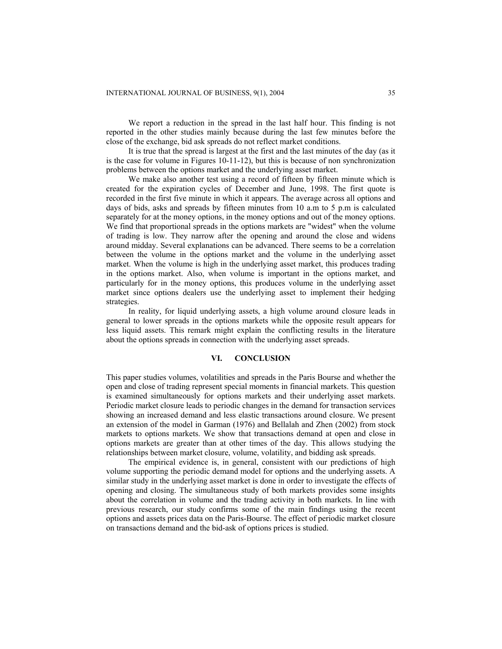We report a reduction in the spread in the last half hour. This finding is not reported in the other studies mainly because during the last few minutes before the close of the exchange, bid ask spreads do not reflect market conditions.

It is true that the spread is largest at the first and the last minutes of the day (as it is the case for volume in Figures 10-11-12), but this is because of non synchronization problems between the options market and the underlying asset market.

We make also another test using a record of fifteen by fifteen minute which is created for the expiration cycles of December and June, 1998. The first quote is recorded in the first five minute in which it appears. The average across all options and days of bids, asks and spreads by fifteen minutes from 10 a.m to 5 p.m is calculated separately for at the money options, in the money options and out of the money options. We find that proportional spreads in the options markets are "widest" when the volume of trading is low. They narrow after the opening and around the close and widens around midday. Several explanations can be advanced. There seems to be a correlation between the volume in the options market and the volume in the underlying asset market. When the volume is high in the underlying asset market, this produces trading in the options market. Also, when volume is important in the options market, and particularly for in the money options, this produces volume in the underlying asset market since options dealers use the underlying asset to implement their hedging strategies.

In reality, for liquid underlying assets, a high volume around closure leads in general to lower spreads in the options markets while the opposite result appears for less liquid assets. This remark might explain the conflicting results in the literature about the options spreads in connection with the underlying asset spreads.

## **VI. CONCLUSION**

This paper studies volumes, volatilities and spreads in the Paris Bourse and whether the open and close of trading represent special moments in financial markets. This question is examined simultaneously for options markets and their underlying asset markets. Periodic market closure leads to periodic changes in the demand for transaction services showing an increased demand and less elastic transactions around closure. We present an extension of the model in Garman (1976) and Bellalah and Zhen (2002) from stock markets to options markets. We show that transactions demand at open and close in options markets are greater than at other times of the day. This allows studying the relationships between market closure, volume, volatility, and bidding ask spreads.

The empirical evidence is, in general, consistent with our predictions of high volume supporting the periodic demand model for options and the underlying assets. A similar study in the underlying asset market is done in order to investigate the effects of opening and closing. The simultaneous study of both markets provides some insights about the correlation in volume and the trading activity in both markets. In line with previous research, our study confirms some of the main findings using the recent options and assets prices data on the Paris-Bourse. The effect of periodic market closure on transactions demand and the bid-ask of options prices is studied.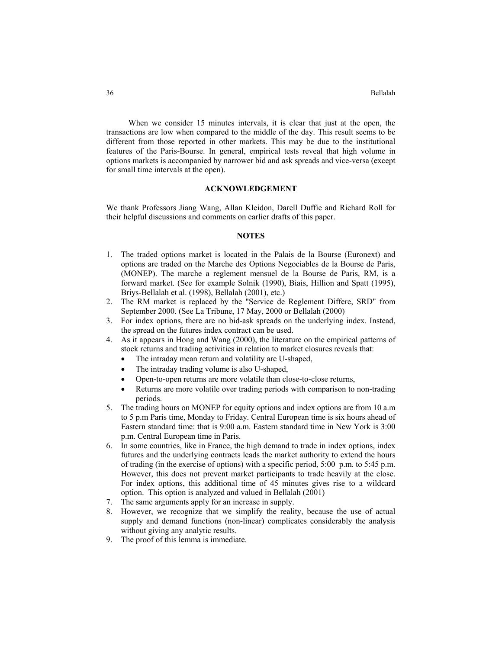When we consider 15 minutes intervals, it is clear that just at the open, the transactions are low when compared to the middle of the day. This result seems to be different from those reported in other markets. This may be due to the institutional features of the Paris-Bourse. In general, empirical tests reveal that high volume in options markets is accompanied by narrower bid and ask spreads and vice-versa (except for small time intervals at the open).

## **ACKNOWLEDGEMENT**

We thank Professors Jiang Wang, Allan Kleidon, Darell Duffie and Richard Roll for their helpful discussions and comments on earlier drafts of this paper.

## **NOTES**

- 1. The traded options market is located in the Palais de la Bourse (Euronext) and options are traded on the Marche des Options Negociables de la Bourse de Paris, (MONEP). The marche a reglement mensuel de la Bourse de Paris, RM, is a forward market. (See for example Solnik (1990), Biais, Hillion and Spatt (1995), Briys-Bellalah et al. (1998), Bellalah (2001), etc.)
- 2. The RM market is replaced by the "Service de Reglement Differe, SRD" from September 2000. (See La Tribune, 17 May, 2000 or Bellalah (2000)
- 3. For index options, there are no bid-ask spreads on the underlying index. Instead, the spread on the futures index contract can be used.
- 4. As it appears in Hong and Wang (2000), the literature on the empirical patterns of stock returns and trading activities in relation to market closures reveals that:
	- The intraday mean return and volatility are U-shaped,
	- The intraday trading volume is also U-shaped,
	- Open-to-open returns are more volatile than close-to-close returns,
	- Returns are more volatile over trading periods with comparison to non-trading periods.
- 5. The trading hours on MONEP for equity options and index options are from 10 a.m to 5 p.m Paris time, Monday to Friday. Central European time is six hours ahead of Eastern standard time: that is 9:00 a.m. Eastern standard time in New York is 3:00 p.m. Central European time in Paris.
- 6. In some countries, like in France, the high demand to trade in index options, index futures and the underlying contracts leads the market authority to extend the hours of trading (in the exercise of options) with a specific period, 5:00 p.m. to 5:45 p.m. However, this does not prevent market participants to trade heavily at the close. For index options, this additional time of 45 minutes gives rise to a wildcard option. This option is analyzed and valued in Bellalah (2001)
- 7. The same arguments apply for an increase in supply.
- 8. However, we recognize that we simplify the reality, because the use of actual supply and demand functions (non-linear) complicates considerably the analysis without giving any analytic results.
- 9. The proof of this lemma is immediate.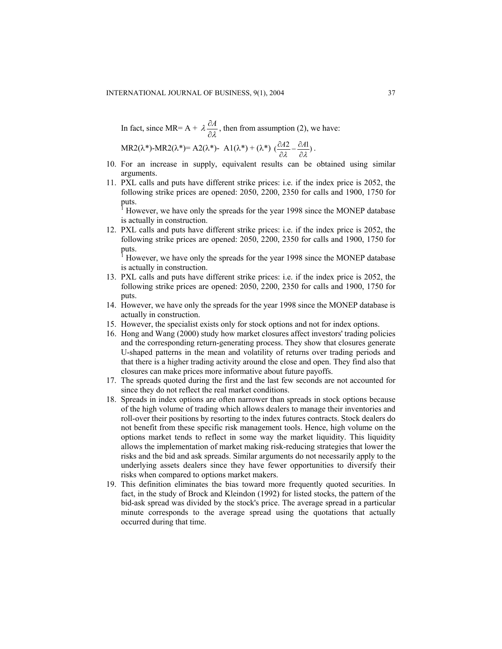In fact, since MR=  $A + \lambda \frac{\partial A}{\partial \lambda}$ , then from assumption (2), we have:

$$
MR2(\lambda^*)-MR2(\lambda^*)=A2(\lambda^*)-A1(\lambda^*)+(\lambda^*)\left(\frac{\partial A2}{\partial \lambda}-\frac{\partial A1}{\partial \lambda}\right).
$$

- 10. For an increase in supply, equivalent results can be obtained using similar arguments.
- 11. PXL calls and puts have different strike prices: i.e. if the index price is 2052, the following strike prices are opened: 2050, 2200, 2350 for calls and 1900, 1750 for puts.

1 However, we have only the spreads for the year 1998 since the MONEP database is actually in construction.

12. PXL calls and puts have different strike prices: i.e. if the index price is 2052, the following strike prices are opened: 2050, 2200, 2350 for calls and 1900, 1750 for puts.

1 However, we have only the spreads for the year 1998 since the MONEP database is actually in construction.

- 13. PXL calls and puts have different strike prices: i.e. if the index price is 2052, the following strike prices are opened: 2050, 2200, 2350 for calls and 1900, 1750 for puts.
- 14. However, we have only the spreads for the year 1998 since the MONEP database is actually in construction.
- 15. However, the specialist exists only for stock options and not for index options.
- 16. Hong and Wang (2000) study how market closures affect investors' trading policies and the corresponding return-generating process. They show that closures generate U-shaped patterns in the mean and volatility of returns over trading periods and that there is a higher trading activity around the close and open. They find also that closures can make prices more informative about future payoffs.
- 17. The spreads quoted during the first and the last few seconds are not accounted for since they do not reflect the real market conditions.
- 18. Spreads in index options are often narrower than spreads in stock options because of the high volume of trading which allows dealers to manage their inventories and roll-over their positions by resorting to the index futures contracts. Stock dealers do not benefit from these specific risk management tools. Hence, high volume on the options market tends to reflect in some way the market liquidity. This liquidity allows the implementation of market making risk-reducing strategies that lower the risks and the bid and ask spreads. Similar arguments do not necessarily apply to the underlying assets dealers since they have fewer opportunities to diversify their risks when compared to options market makers.
- 19. This definition eliminates the bias toward more frequently quoted securities. In fact, in the study of Brock and Kleindon (1992) for listed stocks, the pattern of the bid-ask spread was divided by the stock's price. The average spread in a particular minute corresponds to the average spread using the quotations that actually occurred during that time.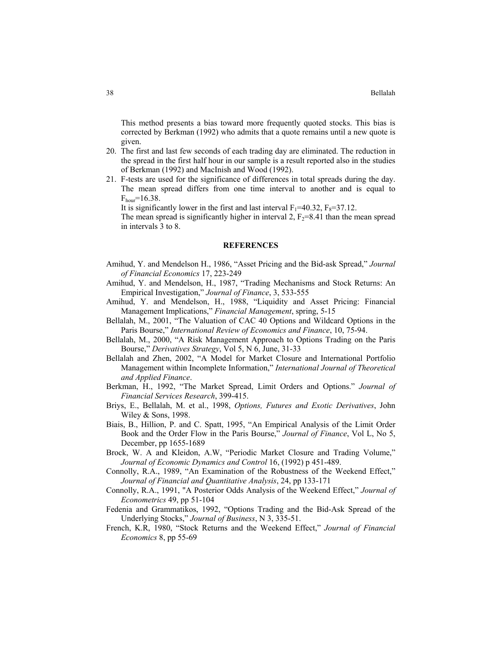This method presents a bias toward more frequently quoted stocks. This bias is corrected by Berkman (1992) who admits that a quote remains until a new quote is given.

- 20. The first and last few seconds of each trading day are eliminated. The reduction in the spread in the first half hour in our sample is a result reported also in the studies of Berkman (1992) and MacInish and Wood (1992).
- 21. F-tests are used for the significance of differences in total spreads during the day. The mean spread differs from one time interval to another and is equal to  $F_{\text{hour}} = 16.38$ .

It is significantly lower in the first and last interval  $F_1$ =40.32,  $F_8$ =37.12.

The mean spread is significantly higher in interval 2,  $F_2=8.41$  than the mean spread in intervals 3 to 8.

## **REFERENCES**

- Amihud, Y. and Mendelson H., 1986, "Asset Pricing and the Bid-ask Spread," *Journal of Financial Economics* 17, 223-249
- Amihud, Y. and Mendelson, H., 1987, "Trading Mechanisms and Stock Returns: An Empirical Investigation," *Journal of Finance*, 3, 533-555
- Amihud, Y. and Mendelson, H., 1988, "Liquidity and Asset Pricing: Financial Management Implications," *Financial Management*, spring, 5-15
- Bellalah, M., 2001, "The Valuation of CAC 40 Options and Wildcard Options in the Paris Bourse," *International Review of Economics and Finance*, 10, 75-94.
- Bellalah, M., 2000, "A Risk Management Approach to Options Trading on the Paris Bourse," *Derivatives Strategy*, Vol 5, N 6, June, 31-33
- Bellalah and Zhen, 2002, "A Model for Market Closure and International Portfolio Management within Incomplete Information," *International Journal of Theoretical and Applied Finance*.
- Berkman, H., 1992, "The Market Spread, Limit Orders and Options." *Journal of Financial Services Research*, 399-415.
- Briys, E., Bellalah, M. et al., 1998, *Options, Futures and Exotic Derivatives*, John Wiley & Sons, 1998.
- Biais, B., Hillion, P. and C. Spatt, 1995, "An Empirical Analysis of the Limit Order Book and the Order Flow in the Paris Bourse," *Journal of Finance*, Vol L, No 5, December, pp 1655-1689
- Brock, W. A and Kleidon, A.W, "Periodic Market Closure and Trading Volume," *Journal of Economic Dynamics and Control* 16, (1992) p 451-489.
- Connolly, R.A., 1989, "An Examination of the Robustness of the Weekend Effect," *Journal of Financial and Quantitative Analysis*, 24, pp 133-171
- Connolly, R.A., 1991, "A Posterior Odds Analysis of the Weekend Effect," *Journal of Econometrics* 49, pp 51-104
- Fedenia and Grammatikos, 1992, "Options Trading and the Bid-Ask Spread of the Underlying Stocks," *Journal of Business*, N 3, 335-51.
- French, K.R, 1980, "Stock Returns and the Weekend Effect," *Journal of Financial Economics* 8, pp 55-69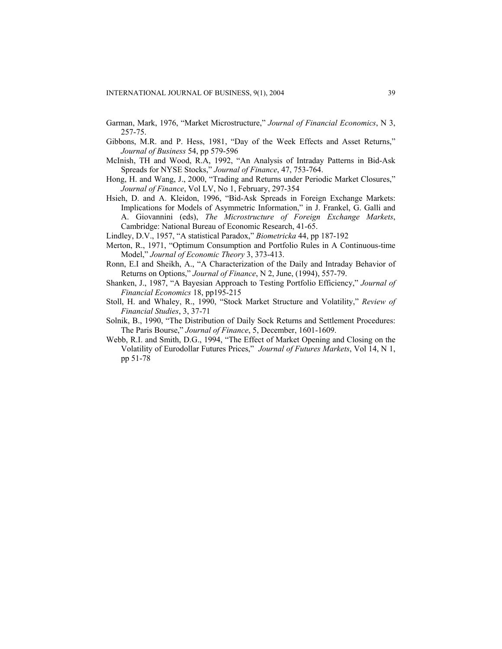Garman, Mark, 1976, "Market Microstructure," *Journal of Financial Economics*, N 3, 257-75.

- Gibbons, M.R. and P. Hess, 1981, "Day of the Week Effects and Asset Returns," *Journal of Business* 54, pp 579-596
- McInish, TH and Wood, R.A, 1992, "An Analysis of Intraday Patterns in Bid-Ask Spreads for NYSE Stocks," *Journal of Finance*, 47, 753-764.
- Hong, H. and Wang, J., 2000, "Trading and Returns under Periodic Market Closures," *Journal of Finance*, Vol LV, No 1, February, 297-354
- Hsieh, D. and A. Kleidon, 1996, "Bid-Ask Spreads in Foreign Exchange Markets: Implications for Models of Asymmetric Information," in J. Frankel, G. Galli and A. Giovannini (eds), *The Microstructure of Foreign Exchange Markets*, Cambridge: National Bureau of Economic Research, 41-65.
- Lindley, D.V., 1957, "A statistical Paradox," *Biometricka* 44, pp 187-192
- Merton, R., 1971, "Optimum Consumption and Portfolio Rules in A Continuous-time Model," *Journal of Economic Theory* 3, 373-413.
- Ronn, E.I and Sheikh, A., "A Characterization of the Daily and Intraday Behavior of Returns on Options," *Journal of Finance*, N 2, June, (1994), 557-79.
- Shanken, J., 1987, "A Bayesian Approach to Testing Portfolio Efficiency," *Journal of Financial Economics* 18, pp195-215
- Stoll, H. and Whaley, R., 1990, "Stock Market Structure and Volatility," *Review of Financial Studies*, 3, 37-71
- Solnik, B., 1990, "The Distribution of Daily Sock Returns and Settlement Procedures: The Paris Bourse," *Journal of Finance*, 5, December, 1601-1609.
- Webb, R.I. and Smith, D.G., 1994, "The Effect of Market Opening and Closing on the Volatility of Eurodollar Futures Prices," *Journal of Futures Markets*, Vol 14, N 1, pp 51-78